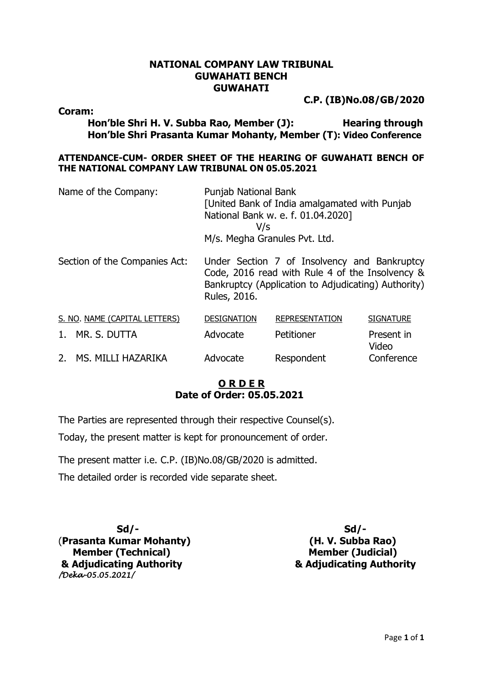## **NATIONAL COMPANY LAW TRIBUNAL GUWAHATI BENCH GUWAHATI**

**C.P. (IB)No.08/GB/2020**

**Coram:**

**Hon'ble Shri H. V. Subba Rao, Member (J): Hearing through Hon'ble Shri Prasanta Kumar Mohanty, Member (T): Video Conference**

### **ATTENDANCE-CUM- ORDER SHEET OF THE HEARING OF GUWAHATI BENCH OF THE NATIONAL COMPANY LAW TRIBUNAL ON 05.05.2021**

| Name of the Company:          | Punjab National Bank<br>[United Bank of India amalgamated with Punjab<br>National Bank w. e. f. 01.04.2020]<br>V/s<br>M/s. Megha Granules Pvt. Ltd.                    |                       |                     |
|-------------------------------|------------------------------------------------------------------------------------------------------------------------------------------------------------------------|-----------------------|---------------------|
| Section of the Companies Act: | Under Section 7 of Insolvency and Bankruptcy<br>Code, 2016 read with Rule 4 of the Insolvency &<br>Bankruptcy (Application to Adjudicating) Authority)<br>Rules, 2016. |                       |                     |
| S. NO. NAME (CAPITAL LETTERS) | <b>DESIGNATION</b>                                                                                                                                                     | <b>REPRESENTATION</b> | <b>SIGNATURE</b>    |
| MR. S. DUTTA<br>1.            | Advocate                                                                                                                                                               | Petitioner            | Present in<br>Video |
| 2.<br>MS. MILLI HAZARIKA      | Advocate                                                                                                                                                               | Respondent            | Conference          |

# **O R D E R Date of Order: 05.05.2021**

The Parties are represented through their respective Counsel(s).

Today, the present matter is kept for pronouncement of order.

The present matter i.e. C.P. (IB)No.08/GB/2020 is admitted.

The detailed order is recorded vide separate sheet.

**Sd/- Sd/-** (**Prasanta Kumar Mohanty) (H. V. Subba Rao) Member (Technical)** Member (Judicial) **& Adjudicating Authority & Adjudicating Authority** */Deka-05.05.2021/*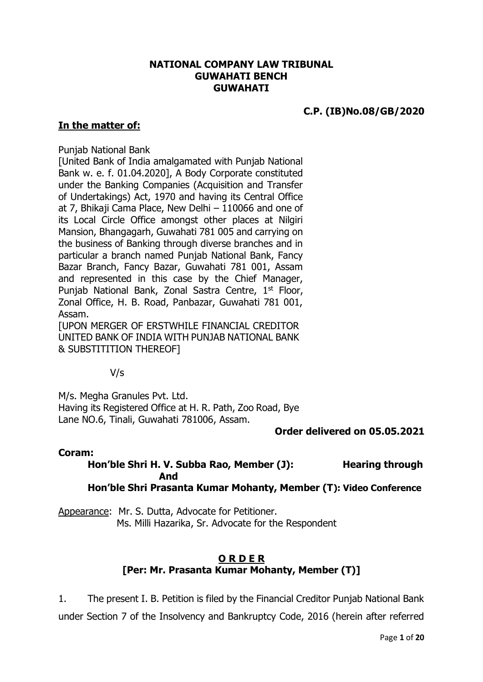## **NATIONAL COMPANY LAW TRIBUNAL GUWAHATI BENCH GUWAHATI**

# **C.P. (IB)No.08/GB/2020**

### **In the matter of:**

#### Punjab National Bank

[United Bank of India amalgamated with Punjab National Bank w. e. f. 01.04.2020], A Body Corporate constituted under the Banking Companies (Acquisition and Transfer of Undertakings) Act, 1970 and having its Central Office at 7, Bhikaji Cama Place, New Delhi – 110066 and one of its Local Circle Office amongst other places at Nilgiri Mansion, Bhangagarh, Guwahati 781 005 and carrying on the business of Banking through diverse branches and in particular a branch named Punjab National Bank, Fancy Bazar Branch, Fancy Bazar, Guwahati 781 001, Assam and represented in this case by the Chief Manager, Punjab National Bank, Zonal Sastra Centre, 1st Floor, Zonal Office, H. B. Road, Panbazar, Guwahati 781 001, Assam.

[UPON MERGER OF ERSTWHILE FINANCIAL CREDITOR UNITED BANK OF INDIA WITH PUNJAB NATIONAL BANK & SUBSTITITION THEREOF]

V/s

M/s. Megha Granules Pvt. Ltd. Having its Registered Office at H. R. Path, Zoo Road, Bye Lane NO.6, Tinali, Guwahati 781006, Assam.

#### **Order delivered on 05.05.2021**

#### **Coram:**

**Hon'ble Shri H. V. Subba Rao, Member (J): Hearing through And Hon'ble Shri Prasanta Kumar Mohanty, Member (T): Video Conference**

Appearance: Mr. S. Dutta, Advocate for Petitioner. Ms. Milli Hazarika, Sr. Advocate for the Respondent

# **O R D E R [Per: Mr. Prasanta Kumar Mohanty, Member (T)]**

1. The present I. B. Petition is filed by the Financial Creditor Punjab National Bank under Section 7 of the Insolvency and Bankruptcy Code, 2016 (herein after referred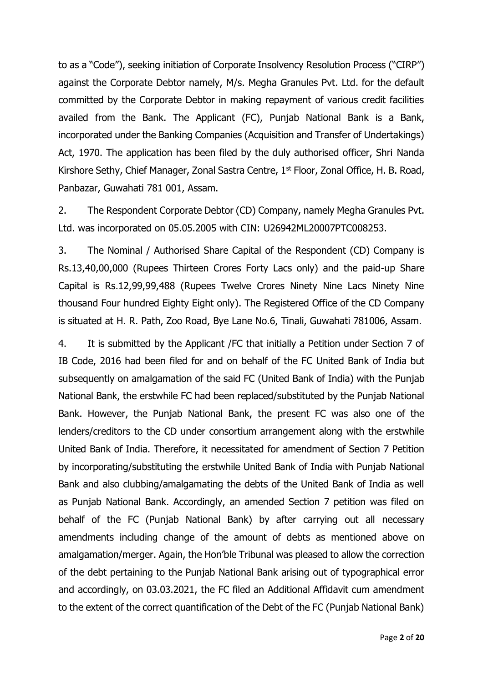to as a "Code"), seeking initiation of Corporate Insolvency Resolution Process ("CIRP") against the Corporate Debtor namely, M/s. Megha Granules Pvt. Ltd. for the default committed by the Corporate Debtor in making repayment of various credit facilities availed from the Bank. The Applicant (FC), Punjab National Bank is a Bank, incorporated under the Banking Companies (Acquisition and Transfer of Undertakings) Act, 1970. The application has been filed by the duly authorised officer, Shri Nanda Kirshore Sethy, Chief Manager, Zonal Sastra Centre, 1<sup>st</sup> Floor, Zonal Office, H. B. Road, Panbazar, Guwahati 781 001, Assam.

2. The Respondent Corporate Debtor (CD) Company, namely Megha Granules Pvt. Ltd. was incorporated on 05.05.2005 with CIN: U26942ML20007PTC008253.

3. The Nominal / Authorised Share Capital of the Respondent (CD) Company is Rs.13,40,00,000 (Rupees Thirteen Crores Forty Lacs only) and the paid-up Share Capital is Rs.12,99,99,488 (Rupees Twelve Crores Ninety Nine Lacs Ninety Nine thousand Four hundred Eighty Eight only). The Registered Office of the CD Company is situated at H. R. Path, Zoo Road, Bye Lane No.6, Tinali, Guwahati 781006, Assam.

4. It is submitted by the Applicant /FC that initially a Petition under Section 7 of IB Code, 2016 had been filed for and on behalf of the FC United Bank of India but subsequently on amalgamation of the said FC (United Bank of India) with the Punjab National Bank, the erstwhile FC had been replaced/substituted by the Punjab National Bank. However, the Punjab National Bank, the present FC was also one of the lenders/creditors to the CD under consortium arrangement along with the erstwhile United Bank of India. Therefore, it necessitated for amendment of Section 7 Petition by incorporating/substituting the erstwhile United Bank of India with Punjab National Bank and also clubbing/amalgamating the debts of the United Bank of India as well as Punjab National Bank. Accordingly, an amended Section 7 petition was filed on behalf of the FC (Punjab National Bank) by after carrying out all necessary amendments including change of the amount of debts as mentioned above on amalgamation/merger. Again, the Hon'ble Tribunal was pleased to allow the correction of the debt pertaining to the Punjab National Bank arising out of typographical error and accordingly, on 03.03.2021, the FC filed an Additional Affidavit cum amendment to the extent of the correct quantification of the Debt of the FC (Punjab National Bank)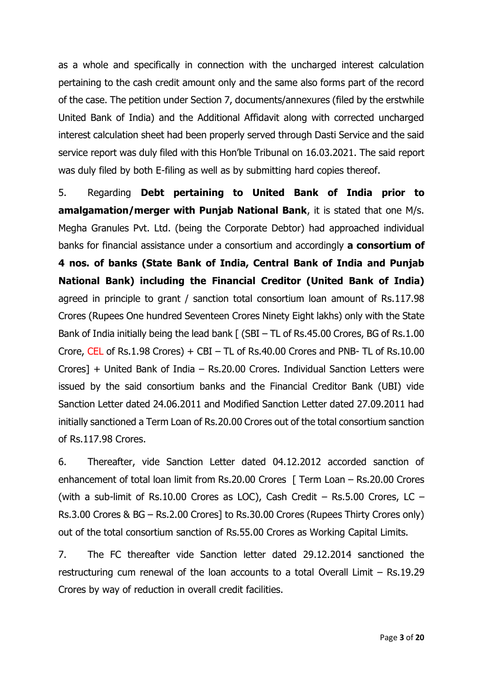as a whole and specifically in connection with the uncharged interest calculation pertaining to the cash credit amount only and the same also forms part of the record of the case. The petition under Section 7, documents/annexures (filed by the erstwhile United Bank of India) and the Additional Affidavit along with corrected uncharged interest calculation sheet had been properly served through Dasti Service and the said service report was duly filed with this Hon'ble Tribunal on 16.03.2021. The said report was duly filed by both E-filing as well as by submitting hard copies thereof.

5. Regarding **Debt pertaining to United Bank of India prior to amalgamation/merger with Punjab National Bank**, it is stated that one M/s. Megha Granules Pvt. Ltd. (being the Corporate Debtor) had approached individual banks for financial assistance under a consortium and accordingly **a consortium of 4 nos. of banks (State Bank of India, Central Bank of India and Punjab National Bank) including the Financial Creditor (United Bank of India)** agreed in principle to grant / sanction total consortium loan amount of Rs.117.98 Crores (Rupees One hundred Seventeen Crores Ninety Eight lakhs) only with the State Bank of India initially being the lead bank [ (SBI – TL of Rs.45.00 Crores, BG of Rs.1.00 Crore, CEL of Rs.1.98 Crores)  $+$  CBI – TL of Rs.40.00 Crores and PNB- TL of Rs.10.00 Crores] + United Bank of India – Rs.20.00 Crores. Individual Sanction Letters were issued by the said consortium banks and the Financial Creditor Bank (UBI) vide Sanction Letter dated 24.06.2011 and Modified Sanction Letter dated 27.09.2011 had initially sanctioned a Term Loan of Rs.20.00 Crores out of the total consortium sanction of Rs.117.98 Crores.

6. Thereafter, vide Sanction Letter dated 04.12.2012 accorded sanction of enhancement of total loan limit from Rs.20.00 Crores [ Term Loan – Rs.20.00 Crores (with a sub-limit of Rs.10.00 Crores as LOC), Cash Credit – Rs.5.00 Crores, LC – Rs.3.00 Crores & BG – Rs.2.00 Crores] to Rs.30.00 Crores (Rupees Thirty Crores only) out of the total consortium sanction of Rs.55.00 Crores as Working Capital Limits.

7. The FC thereafter vide Sanction letter dated 29.12.2014 sanctioned the restructuring cum renewal of the loan accounts to a total Overall Limit – Rs.19.29 Crores by way of reduction in overall credit facilities.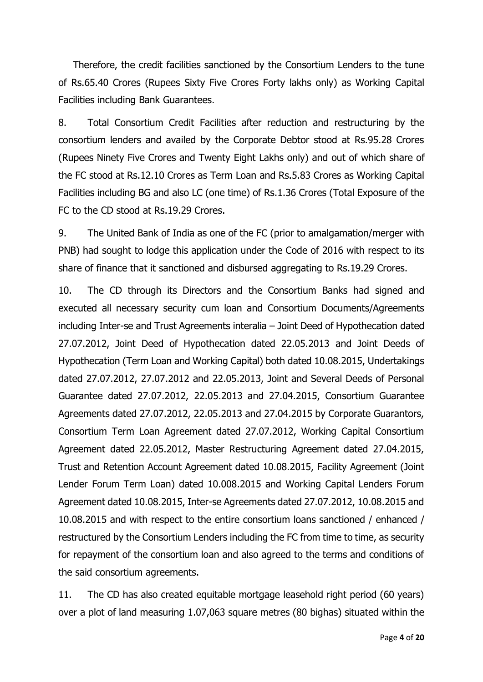Therefore, the credit facilities sanctioned by the Consortium Lenders to the tune of Rs.65.40 Crores (Rupees Sixty Five Crores Forty lakhs only) as Working Capital Facilities including Bank Guarantees.

8. Total Consortium Credit Facilities after reduction and restructuring by the consortium lenders and availed by the Corporate Debtor stood at Rs.95.28 Crores (Rupees Ninety Five Crores and Twenty Eight Lakhs only) and out of which share of the FC stood at Rs.12.10 Crores as Term Loan and Rs.5.83 Crores as Working Capital Facilities including BG and also LC (one time) of Rs.1.36 Crores (Total Exposure of the FC to the CD stood at Rs.19.29 Crores.

9. The United Bank of India as one of the FC (prior to amalgamation/merger with PNB) had sought to lodge this application under the Code of 2016 with respect to its share of finance that it sanctioned and disbursed aggregating to Rs.19.29 Crores.

10. The CD through its Directors and the Consortium Banks had signed and executed all necessary security cum loan and Consortium Documents/Agreements including Inter-se and Trust Agreements interalia – Joint Deed of Hypothecation dated 27.07.2012, Joint Deed of Hypothecation dated 22.05.2013 and Joint Deeds of Hypothecation (Term Loan and Working Capital) both dated 10.08.2015, Undertakings dated 27.07.2012, 27.07.2012 and 22.05.2013, Joint and Several Deeds of Personal Guarantee dated 27.07.2012, 22.05.2013 and 27.04.2015, Consortium Guarantee Agreements dated 27.07.2012, 22.05.2013 and 27.04.2015 by Corporate Guarantors, Consortium Term Loan Agreement dated 27.07.2012, Working Capital Consortium Agreement dated 22.05.2012, Master Restructuring Agreement dated 27.04.2015, Trust and Retention Account Agreement dated 10.08.2015, Facility Agreement (Joint Lender Forum Term Loan) dated 10.008.2015 and Working Capital Lenders Forum Agreement dated 10.08.2015, Inter-se Agreements dated 27.07.2012, 10.08.2015 and 10.08.2015 and with respect to the entire consortium loans sanctioned / enhanced / restructured by the Consortium Lenders including the FC from time to time, as security for repayment of the consortium loan and also agreed to the terms and conditions of the said consortium agreements.

11. The CD has also created equitable mortgage leasehold right period (60 years) over a plot of land measuring 1.07,063 square metres (80 bighas) situated within the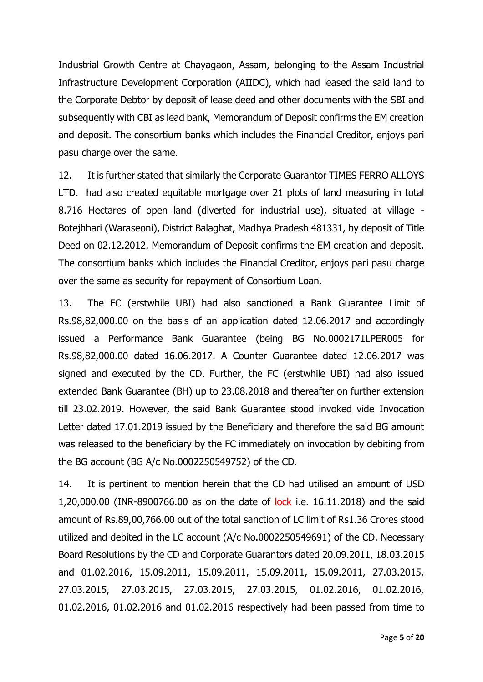Industrial Growth Centre at Chayagaon, Assam, belonging to the Assam Industrial Infrastructure Development Corporation (AIIDC), which had leased the said land to the Corporate Debtor by deposit of lease deed and other documents with the SBI and subsequently with CBI as lead bank, Memorandum of Deposit confirms the EM creation and deposit. The consortium banks which includes the Financial Creditor, enjoys pari pasu charge over the same.

12. It is further stated that similarly the Corporate Guarantor TIMES FERRO ALLOYS LTD. had also created equitable mortgage over 21 plots of land measuring in total 8.716 Hectares of open land (diverted for industrial use), situated at village - Botejhhari (Waraseoni), District Balaghat, Madhya Pradesh 481331, by deposit of Title Deed on 02.12.2012. Memorandum of Deposit confirms the EM creation and deposit. The consortium banks which includes the Financial Creditor, enjoys pari pasu charge over the same as security for repayment of Consortium Loan.

13. The FC (erstwhile UBI) had also sanctioned a Bank Guarantee Limit of Rs.98,82,000.00 on the basis of an application dated 12.06.2017 and accordingly issued a Performance Bank Guarantee (being BG No.0002171LPER005 for Rs.98,82,000.00 dated 16.06.2017. A Counter Guarantee dated 12.06.2017 was signed and executed by the CD. Further, the FC (erstwhile UBI) had also issued extended Bank Guarantee (BH) up to 23.08.2018 and thereafter on further extension till 23.02.2019. However, the said Bank Guarantee stood invoked vide Invocation Letter dated 17.01.2019 issued by the Beneficiary and therefore the said BG amount was released to the beneficiary by the FC immediately on invocation by debiting from the BG account (BG A/c No.0002250549752) of the CD.

14. It is pertinent to mention herein that the CD had utilised an amount of USD 1,20,000.00 (INR-8900766.00 as on the date of lock i.e. 16.11.2018) and the said amount of Rs.89,00,766.00 out of the total sanction of LC limit of Rs1.36 Crores stood utilized and debited in the LC account (A/c No.0002250549691) of the CD. Necessary Board Resolutions by the CD and Corporate Guarantors dated 20.09.2011, 18.03.2015 and 01.02.2016, 15.09.2011, 15.09.2011, 15.09.2011, 15.09.2011, 27.03.2015, 27.03.2015, 27.03.2015, 27.03.2015, 27.03.2015, 01.02.2016, 01.02.2016, 01.02.2016, 01.02.2016 and 01.02.2016 respectively had been passed from time to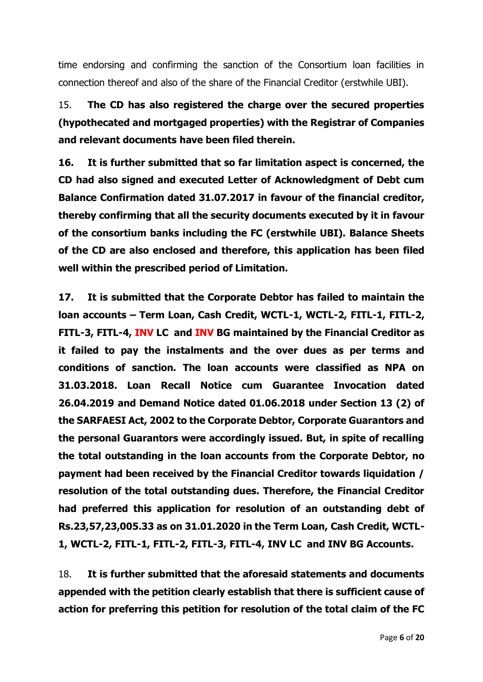time endorsing and confirming the sanction of the Consortium loan facilities in connection thereof and also of the share of the Financial Creditor (erstwhile UBI).

15. **The CD has also registered the charge over the secured properties (hypothecated and mortgaged properties) with the Registrar of Companies and relevant documents have been filed therein.** 

**16. It is further submitted that so far limitation aspect is concerned, the CD had also signed and executed Letter of Acknowledgment of Debt cum Balance Confirmation dated 31.07.2017 in favour of the financial creditor, thereby confirming that all the security documents executed by it in favour of the consortium banks including the FC (erstwhile UBI). Balance Sheets of the CD are also enclosed and therefore, this application has been filed well within the prescribed period of Limitation.** 

**17. It is submitted that the Corporate Debtor has failed to maintain the loan accounts – Term Loan, Cash Credit, WCTL-1, WCTL-2, FITL-1, FITL-2, FITL-3, FITL-4, INV LC and INV BG maintained by the Financial Creditor as it failed to pay the instalments and the over dues as per terms and conditions of sanction. The loan accounts were classified as NPA on 31.03.2018. Loan Recall Notice cum Guarantee Invocation dated 26.04.2019 and Demand Notice dated 01.06.2018 under Section 13 (2) of the SARFAESI Act, 2002 to the Corporate Debtor, Corporate Guarantors and the personal Guarantors were accordingly issued. But, in spite of recalling the total outstanding in the loan accounts from the Corporate Debtor, no payment had been received by the Financial Creditor towards liquidation / resolution of the total outstanding dues. Therefore, the Financial Creditor had preferred this application for resolution of an outstanding debt of Rs.23,57,23,005.33 as on 31.01.2020 in the Term Loan, Cash Credit, WCTL-1, WCTL-2, FITL-1, FITL-2, FITL-3, FITL-4, INV LC and INV BG Accounts.**

18. **It is further submitted that the aforesaid statements and documents appended with the petition clearly establish that there is sufficient cause of action for preferring this petition for resolution of the total claim of the FC**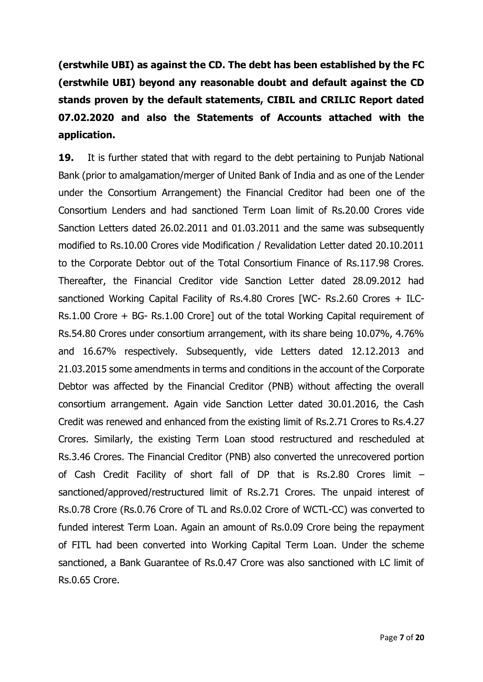**(erstwhile UBI) as against the CD. The debt has been established by the FC (erstwhile UBI) beyond any reasonable doubt and default against the CD stands proven by the default statements, CIBIL and CRILIC Report dated 07.02.2020 and also the Statements of Accounts attached with the application.** 

**19.** It is further stated that with regard to the debt pertaining to Punjab National Bank (prior to amalgamation/merger of United Bank of India and as one of the Lender under the Consortium Arrangement) the Financial Creditor had been one of the Consortium Lenders and had sanctioned Term Loan limit of Rs.20.00 Crores vide Sanction Letters dated 26.02.2011 and 01.03.2011 and the same was subsequently modified to Rs.10.00 Crores vide Modification / Revalidation Letter dated 20.10.2011 to the Corporate Debtor out of the Total Consortium Finance of Rs.117.98 Crores. Thereafter, the Financial Creditor vide Sanction Letter dated 28.09.2012 had sanctioned Working Capital Facility of Rs.4.80 Crores [WC- Rs.2.60 Crores + ILC-Rs.1.00 Crore + BG- Rs.1.00 Crore] out of the total Working Capital requirement of Rs.54.80 Crores under consortium arrangement, with its share being 10.07%, 4.76% and 16.67% respectively. Subsequently, vide Letters dated 12.12.2013 and 21.03.2015 some amendments in terms and conditions in the account of the Corporate Debtor was affected by the Financial Creditor (PNB) without affecting the overall consortium arrangement. Again vide Sanction Letter dated 30.01.2016, the Cash Credit was renewed and enhanced from the existing limit of Rs.2.71 Crores to Rs.4.27 Crores. Similarly, the existing Term Loan stood restructured and rescheduled at Rs.3.46 Crores. The Financial Creditor (PNB) also converted the unrecovered portion of Cash Credit Facility of short fall of DP that is Rs.2.80 Crores limit – sanctioned/approved/restructured limit of Rs.2.71 Crores. The unpaid interest of Rs.0.78 Crore (Rs.0.76 Crore of TL and Rs.0.02 Crore of WCTL-CC) was converted to funded interest Term Loan. Again an amount of Rs.0.09 Crore being the repayment of FITL had been converted into Working Capital Term Loan. Under the scheme sanctioned, a Bank Guarantee of Rs.0.47 Crore was also sanctioned with LC limit of Rs.0.65 Crore.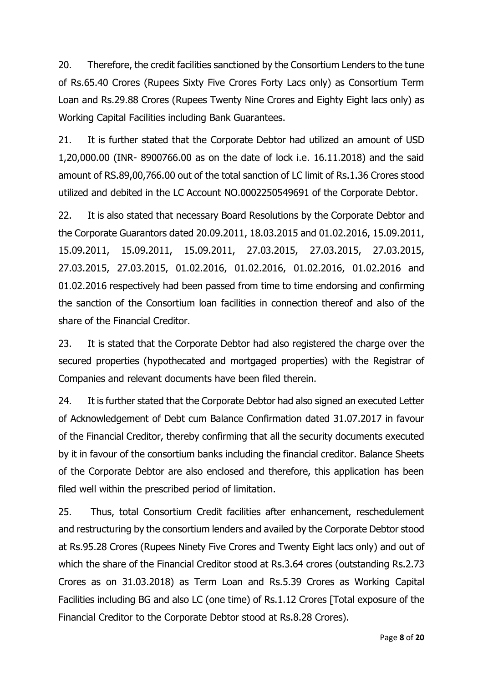20. Therefore, the credit facilities sanctioned by the Consortium Lenders to the tune of Rs.65.40 Crores (Rupees Sixty Five Crores Forty Lacs only) as Consortium Term Loan and Rs.29.88 Crores (Rupees Twenty Nine Crores and Eighty Eight lacs only) as Working Capital Facilities including Bank Guarantees.

21. It is further stated that the Corporate Debtor had utilized an amount of USD 1,20,000.00 (INR- 8900766.00 as on the date of lock i.e. 16.11.2018) and the said amount of RS.89,00,766.00 out of the total sanction of LC limit of Rs.1.36 Crores stood utilized and debited in the LC Account NO.0002250549691 of the Corporate Debtor.

22. It is also stated that necessary Board Resolutions by the Corporate Debtor and the Corporate Guarantors dated 20.09.2011, 18.03.2015 and 01.02.2016, 15.09.2011, 15.09.2011, 15.09.2011, 15.09.2011, 27.03.2015, 27.03.2015, 27.03.2015, 27.03.2015, 27.03.2015, 01.02.2016, 01.02.2016, 01.02.2016, 01.02.2016 and 01.02.2016 respectively had been passed from time to time endorsing and confirming the sanction of the Consortium loan facilities in connection thereof and also of the share of the Financial Creditor.

23. It is stated that the Corporate Debtor had also registered the charge over the secured properties (hypothecated and mortgaged properties) with the Registrar of Companies and relevant documents have been filed therein.

24. It is further stated that the Corporate Debtor had also signed an executed Letter of Acknowledgement of Debt cum Balance Confirmation dated 31.07.2017 in favour of the Financial Creditor, thereby confirming that all the security documents executed by it in favour of the consortium banks including the financial creditor. Balance Sheets of the Corporate Debtor are also enclosed and therefore, this application has been filed well within the prescribed period of limitation.

25. Thus, total Consortium Credit facilities after enhancement, reschedulement and restructuring by the consortium lenders and availed by the Corporate Debtor stood at Rs.95.28 Crores (Rupees Ninety Five Crores and Twenty Eight lacs only) and out of which the share of the Financial Creditor stood at Rs.3.64 crores (outstanding Rs.2.73 Crores as on 31.03.2018) as Term Loan and Rs.5.39 Crores as Working Capital Facilities including BG and also LC (one time) of Rs.1.12 Crores [Total exposure of the Financial Creditor to the Corporate Debtor stood at Rs.8.28 Crores).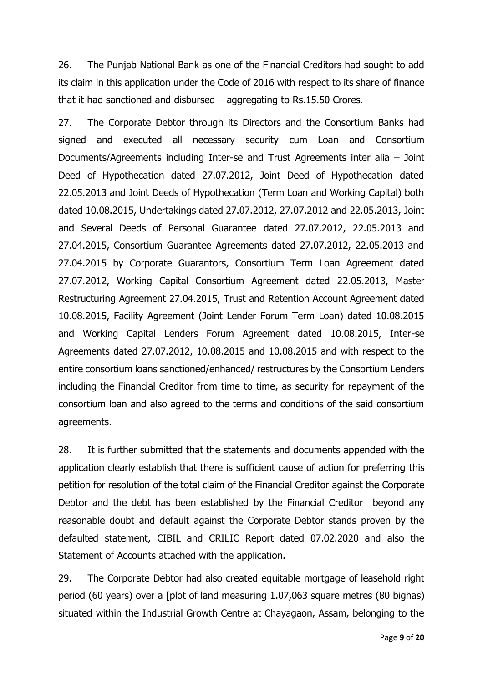26. The Punjab National Bank as one of the Financial Creditors had sought to add its claim in this application under the Code of 2016 with respect to its share of finance that it had sanctioned and disbursed – aggregating to Rs.15.50 Crores.

27. The Corporate Debtor through its Directors and the Consortium Banks had signed and executed all necessary security cum Loan and Consortium Documents/Agreements including Inter-se and Trust Agreements inter alia – Joint Deed of Hypothecation dated 27.07.2012, Joint Deed of Hypothecation dated 22.05.2013 and Joint Deeds of Hypothecation (Term Loan and Working Capital) both dated 10.08.2015, Undertakings dated 27.07.2012, 27.07.2012 and 22.05.2013, Joint and Several Deeds of Personal Guarantee dated 27.07.2012, 22.05.2013 and 27.04.2015, Consortium Guarantee Agreements dated 27.07.2012, 22.05.2013 and 27.04.2015 by Corporate Guarantors, Consortium Term Loan Agreement dated 27.07.2012, Working Capital Consortium Agreement dated 22.05.2013, Master Restructuring Agreement 27.04.2015, Trust and Retention Account Agreement dated 10.08.2015, Facility Agreement (Joint Lender Forum Term Loan) dated 10.08.2015 and Working Capital Lenders Forum Agreement dated 10.08.2015, Inter-se Agreements dated 27.07.2012, 10.08.2015 and 10.08.2015 and with respect to the entire consortium loans sanctioned/enhanced/ restructures by the Consortium Lenders including the Financial Creditor from time to time, as security for repayment of the consortium loan and also agreed to the terms and conditions of the said consortium agreements.

28. It is further submitted that the statements and documents appended with the application clearly establish that there is sufficient cause of action for preferring this petition for resolution of the total claim of the Financial Creditor against the Corporate Debtor and the debt has been established by the Financial Creditor beyond any reasonable doubt and default against the Corporate Debtor stands proven by the defaulted statement, CIBIL and CRILIC Report dated 07.02.2020 and also the Statement of Accounts attached with the application.

29. The Corporate Debtor had also created equitable mortgage of leasehold right period (60 years) over a [plot of land measuring 1.07,063 square metres (80 bighas) situated within the Industrial Growth Centre at Chayagaon, Assam, belonging to the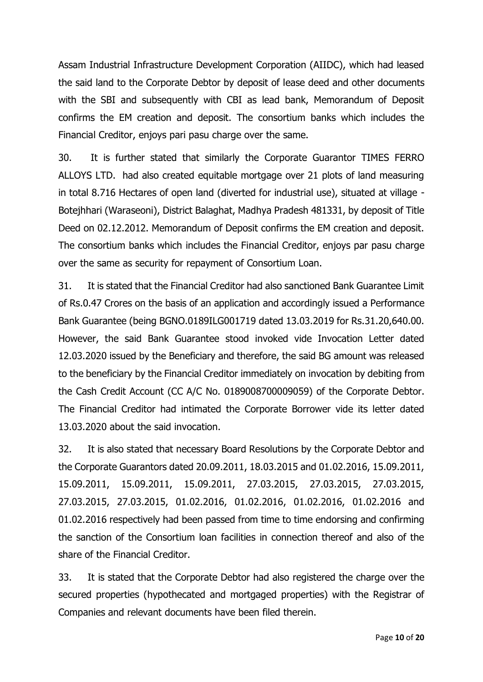Assam Industrial Infrastructure Development Corporation (AIIDC), which had leased the said land to the Corporate Debtor by deposit of lease deed and other documents with the SBI and subsequently with CBI as lead bank, Memorandum of Deposit confirms the EM creation and deposit. The consortium banks which includes the Financial Creditor, enjoys pari pasu charge over the same.

30. It is further stated that similarly the Corporate Guarantor TIMES FERRO ALLOYS LTD. had also created equitable mortgage over 21 plots of land measuring in total 8.716 Hectares of open land (diverted for industrial use), situated at village - Botejhhari (Waraseoni), District Balaghat, Madhya Pradesh 481331, by deposit of Title Deed on 02.12.2012. Memorandum of Deposit confirms the EM creation and deposit. The consortium banks which includes the Financial Creditor, enjoys par pasu charge over the same as security for repayment of Consortium Loan.

31. It is stated that the Financial Creditor had also sanctioned Bank Guarantee Limit of Rs.0.47 Crores on the basis of an application and accordingly issued a Performance Bank Guarantee (being BGNO.0189ILG001719 dated 13.03.2019 for Rs.31.20,640.00. However, the said Bank Guarantee stood invoked vide Invocation Letter dated 12.03.2020 issued by the Beneficiary and therefore, the said BG amount was released to the beneficiary by the Financial Creditor immediately on invocation by debiting from the Cash Credit Account (CC A/C No. 0189008700009059) of the Corporate Debtor. The Financial Creditor had intimated the Corporate Borrower vide its letter dated 13.03.2020 about the said invocation.

32. It is also stated that necessary Board Resolutions by the Corporate Debtor and the Corporate Guarantors dated 20.09.2011, 18.03.2015 and 01.02.2016, 15.09.2011, 15.09.2011, 15.09.2011, 15.09.2011, 27.03.2015, 27.03.2015, 27.03.2015, 27.03.2015, 27.03.2015, 01.02.2016, 01.02.2016, 01.02.2016, 01.02.2016 and 01.02.2016 respectively had been passed from time to time endorsing and confirming the sanction of the Consortium loan facilities in connection thereof and also of the share of the Financial Creditor.

33. It is stated that the Corporate Debtor had also registered the charge over the secured properties (hypothecated and mortgaged properties) with the Registrar of Companies and relevant documents have been filed therein.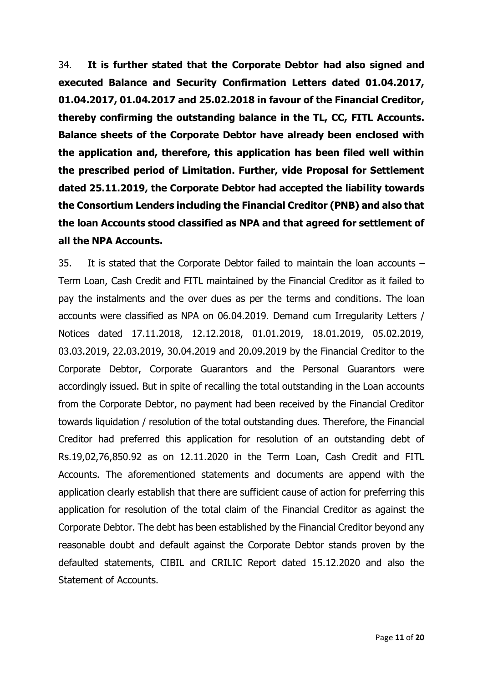34. **It is further stated that the Corporate Debtor had also signed and executed Balance and Security Confirmation Letters dated 01.04.2017, 01.04.2017, 01.04.2017 and 25.02.2018 in favour of the Financial Creditor, thereby confirming the outstanding balance in the TL, CC, FITL Accounts. Balance sheets of the Corporate Debtor have already been enclosed with the application and, therefore, this application has been filed well within the prescribed period of Limitation. Further, vide Proposal for Settlement dated 25.11.2019, the Corporate Debtor had accepted the liability towards the Consortium Lenders including the Financial Creditor (PNB) and also that the loan Accounts stood classified as NPA and that agreed for settlement of all the NPA Accounts.**

35. It is stated that the Corporate Debtor failed to maintain the loan accounts – Term Loan, Cash Credit and FITL maintained by the Financial Creditor as it failed to pay the instalments and the over dues as per the terms and conditions. The loan accounts were classified as NPA on 06.04.2019. Demand cum Irregularity Letters / Notices dated 17.11.2018, 12.12.2018, 01.01.2019, 18.01.2019, 05.02.2019, 03.03.2019, 22.03.2019, 30.04.2019 and 20.09.2019 by the Financial Creditor to the Corporate Debtor, Corporate Guarantors and the Personal Guarantors were accordingly issued. But in spite of recalling the total outstanding in the Loan accounts from the Corporate Debtor, no payment had been received by the Financial Creditor towards liquidation / resolution of the total outstanding dues. Therefore, the Financial Creditor had preferred this application for resolution of an outstanding debt of Rs.19,02,76,850.92 as on 12.11.2020 in the Term Loan, Cash Credit and FITL Accounts. The aforementioned statements and documents are append with the application clearly establish that there are sufficient cause of action for preferring this application for resolution of the total claim of the Financial Creditor as against the Corporate Debtor. The debt has been established by the Financial Creditor beyond any reasonable doubt and default against the Corporate Debtor stands proven by the defaulted statements, CIBIL and CRILIC Report dated 15.12.2020 and also the Statement of Accounts.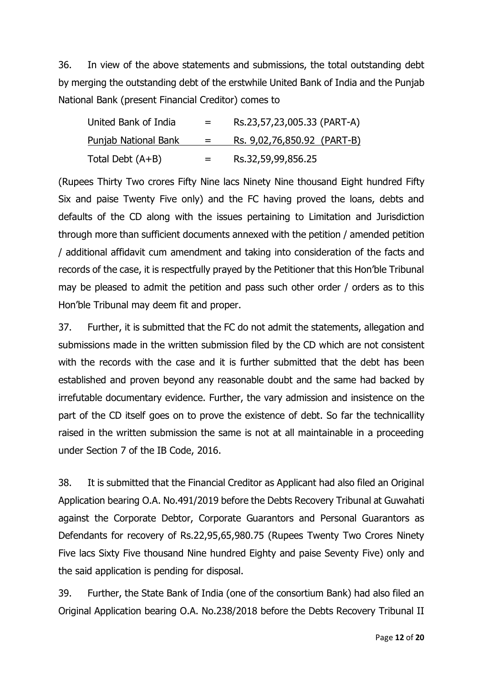36. In view of the above statements and submissions, the total outstanding debt by merging the outstanding debt of the erstwhile United Bank of India and the Punjab National Bank (present Financial Creditor) comes to

| United Bank of India        | $=$ | Rs.23,57,23,005.33 (PART-A)        |
|-----------------------------|-----|------------------------------------|
| <u>Punjab National Bank</u> | $=$ | <u>Rs. 9,02,76,850.92 (PART-B)</u> |
| Total Debt (A+B)            | $=$ | Rs.32,59,99,856.25                 |

(Rupees Thirty Two crores Fifty Nine lacs Ninety Nine thousand Eight hundred Fifty Six and paise Twenty Five only) and the FC having proved the loans, debts and defaults of the CD along with the issues pertaining to Limitation and Jurisdiction through more than sufficient documents annexed with the petition / amended petition / additional affidavit cum amendment and taking into consideration of the facts and records of the case, it is respectfully prayed by the Petitioner that this Hon'ble Tribunal may be pleased to admit the petition and pass such other order / orders as to this Hon'ble Tribunal may deem fit and proper.

37. Further, it is submitted that the FC do not admit the statements, allegation and submissions made in the written submission filed by the CD which are not consistent with the records with the case and it is further submitted that the debt has been established and proven beyond any reasonable doubt and the same had backed by irrefutable documentary evidence. Further, the vary admission and insistence on the part of the CD itself goes on to prove the existence of debt. So far the technicallity raised in the written submission the same is not at all maintainable in a proceeding under Section 7 of the IB Code, 2016.

38. It is submitted that the Financial Creditor as Applicant had also filed an Original Application bearing O.A. No.491/2019 before the Debts Recovery Tribunal at Guwahati against the Corporate Debtor, Corporate Guarantors and Personal Guarantors as Defendants for recovery of Rs.22,95,65,980.75 (Rupees Twenty Two Crores Ninety Five lacs Sixty Five thousand Nine hundred Eighty and paise Seventy Five) only and the said application is pending for disposal.

39. Further, the State Bank of India (one of the consortium Bank) had also filed an Original Application bearing O.A. No.238/2018 before the Debts Recovery Tribunal II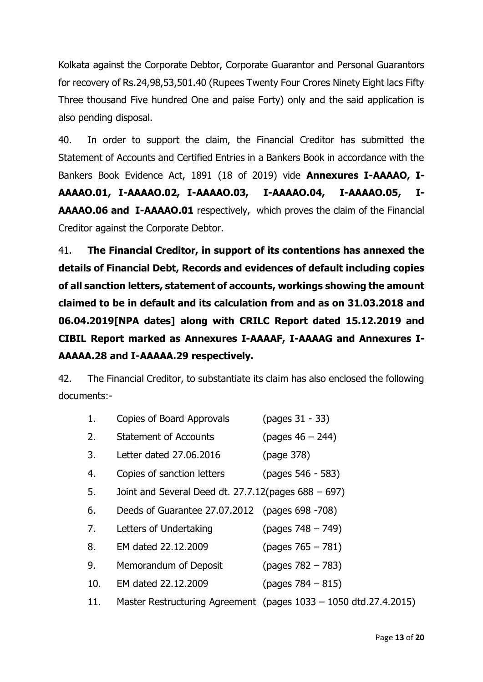Kolkata against the Corporate Debtor, Corporate Guarantor and Personal Guarantors for recovery of Rs.24,98,53,501.40 (Rupees Twenty Four Crores Ninety Eight lacs Fifty Three thousand Five hundred One and paise Forty) only and the said application is also pending disposal.

40. In order to support the claim, the Financial Creditor has submitted the Statement of Accounts and Certified Entries in a Bankers Book in accordance with the Bankers Book Evidence Act, 1891 (18 of 2019) vide **Annexures I-AAAAO, I-AAAAO.01, I-AAAAO.02, I-AAAAO.03, I-AAAAO.04, I-AAAAO.05, I-AAAAO.06 and I-AAAAO.01** respectively, which proves the claim of the Financial Creditor against the Corporate Debtor.

41. **The Financial Creditor, in support of its contentions has annexed the details of Financial Debt, Records and evidences of default including copies of all sanction letters, statement of accounts, workings showing the amount claimed to be in default and its calculation from and as on 31.03.2018 and 06.04.2019[NPA dates] along with CRILC Report dated 15.12.2019 and CIBIL Report marked as Annexures I-AAAAF, I-AAAAG and Annexures I-AAAAA.28 and I-AAAAA.29 respectively.** 

42. The Financial Creditor, to substantiate its claim has also enclosed the following documents:-

| 1.  | Copies of Board Approvals                           | (pages 31 - 33)                                                  |
|-----|-----------------------------------------------------|------------------------------------------------------------------|
| 2.  | <b>Statement of Accounts</b>                        | $(pages 46 - 244)$                                               |
| 3.  | Letter dated 27.06.2016                             | (page 378)                                                       |
| 4.  | Copies of sanction letters                          | (pages 546 - 583)                                                |
| 5.  | Joint and Several Deed dt. 27.7.12(pages 688 - 697) |                                                                  |
| 6.  | Deeds of Guarantee 27.07.2012 (pages 698 -708)      |                                                                  |
| 7.  | Letters of Undertaking                              | $(pages 748 - 749)$                                              |
| 8.  | EM dated 22.12.2009                                 | $(pages 765 - 781)$                                              |
| 9.  | Memorandum of Deposit                               | $(pages 782 - 783)$                                              |
| 10. | EM dated 22.12.2009                                 | $(pages 784 - 815)$                                              |
| 11. |                                                     | Master Restructuring Agreement (pages 1033 – 1050 dtd.27.4.2015) |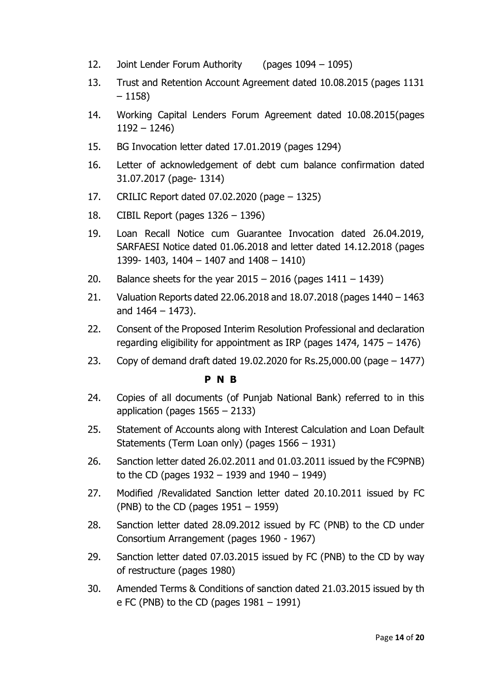- 12. Joint Lender Forum Authority (pages 1094 1095)
- 13. Trust and Retention Account Agreement dated 10.08.2015 (pages 1131 – 1158)
- 14. Working Capital Lenders Forum Agreement dated 10.08.2015(pages 1192 – 1246)
- 15. BG Invocation letter dated 17.01.2019 (pages 1294)
- 16. Letter of acknowledgement of debt cum balance confirmation dated 31.07.2017 (page- 1314)
- 17. CRILIC Report dated 07.02.2020 (page 1325)
- 18. CIBIL Report (pages 1326 1396)
- 19. Loan Recall Notice cum Guarantee Invocation dated 26.04.2019, SARFAESI Notice dated 01.06.2018 and letter dated 14.12.2018 (pages 1399- 1403, 1404 – 1407 and 1408 – 1410)
- 20. Balance sheets for the year  $2015 2016$  (pages  $1411 1439$ )
- 21. Valuation Reports dated 22.06.2018 and 18.07.2018 (pages 1440 1463 and 1464 – 1473).
- 22. Consent of the Proposed Interim Resolution Professional and declaration regarding eligibility for appointment as IRP (pages 1474, 1475 – 1476)
- 23. Copy of demand draft dated 19.02.2020 for Rs.25,000.00 (page 1477)

## **P N B**

- 24. Copies of all documents (of Punjab National Bank) referred to in this application (pages 1565 – 2133)
- 25. Statement of Accounts along with Interest Calculation and Loan Default Statements (Term Loan only) (pages 1566 – 1931)
- 26. Sanction letter dated 26.02.2011 and 01.03.2011 issued by the FC9PNB) to the CD (pages 1932 – 1939 and 1940 – 1949)
- 27. Modified /Revalidated Sanction letter dated 20.10.2011 issued by FC (PNB) to the CD (pages  $1951 - 1959$ )
- 28. Sanction letter dated 28.09.2012 issued by FC (PNB) to the CD under Consortium Arrangement (pages 1960 - 1967)
- 29. Sanction letter dated 07.03.2015 issued by FC (PNB) to the CD by way of restructure (pages 1980)
- 30. Amended Terms & Conditions of sanction dated 21.03.2015 issued by th e FC (PNB) to the CD (pages  $1981 - 1991$ )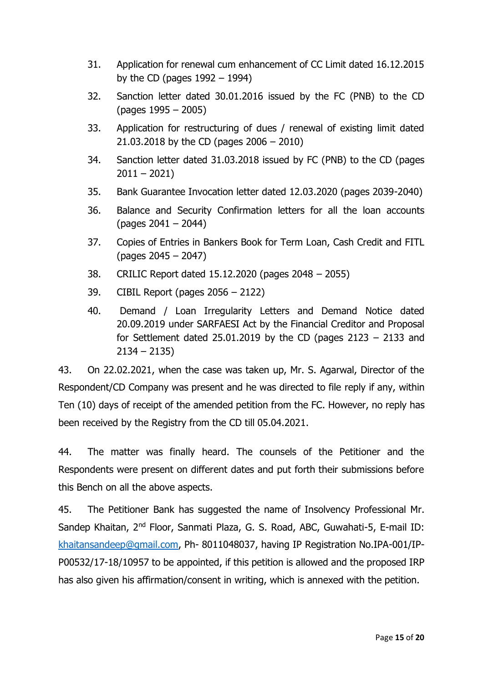- 31. Application for renewal cum enhancement of CC Limit dated 16.12.2015 by the CD (pages  $1992 - 1994$ )
- 32. Sanction letter dated 30.01.2016 issued by the FC (PNB) to the CD (pages 1995 – 2005)
- 33. Application for restructuring of dues / renewal of existing limit dated 21.03.2018 by the CD (pages 2006 – 2010)
- 34. Sanction letter dated 31.03.2018 issued by FC (PNB) to the CD (pages  $2011 - 2021$
- 35. Bank Guarantee Invocation letter dated 12.03.2020 (pages 2039-2040)
- 36. Balance and Security Confirmation letters for all the loan accounts (pages 2041 – 2044)
- 37. Copies of Entries in Bankers Book for Term Loan, Cash Credit and FITL (pages 2045 – 2047)
- 38. CRILIC Report dated 15.12.2020 (pages 2048 2055)
- 39. CIBIL Report (pages 2056 2122)
- 40. Demand / Loan Irregularity Letters and Demand Notice dated 20.09.2019 under SARFAESI Act by the Financial Creditor and Proposal for Settlement dated 25.01.2019 by the CD (pages  $2123 - 2133$  and 2134 – 2135)

43. On 22.02.2021, when the case was taken up, Mr. S. Agarwal, Director of the Respondent/CD Company was present and he was directed to file reply if any, within Ten (10) days of receipt of the amended petition from the FC. However, no reply has been received by the Registry from the CD till 05.04.2021.

44. The matter was finally heard. The counsels of the Petitioner and the Respondents were present on different dates and put forth their submissions before this Bench on all the above aspects.

45. The Petitioner Bank has suggested the name of Insolvency Professional Mr. Sandep Khaitan, 2nd Floor, Sanmati Plaza, G. S. Road, ABC, Guwahati-5, E-mail ID: [khaitansandeep@gmail.com,](mailto:khaitansandeep@gmail.com) Ph- 8011048037, having IP Registration No.IPA-001/IP-P00532/17-18/10957 to be appointed, if this petition is allowed and the proposed IRP has also given his affirmation/consent in writing, which is annexed with the petition.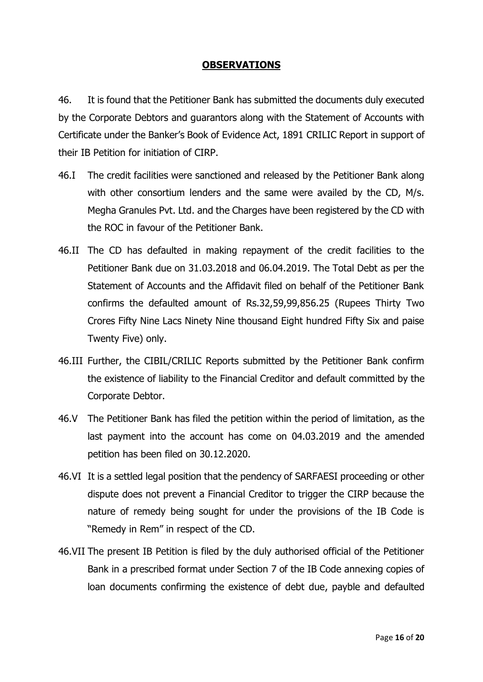# **OBSERVATIONS**

46. It is found that the Petitioner Bank has submitted the documents duly executed by the Corporate Debtors and guarantors along with the Statement of Accounts with Certificate under the Banker's Book of Evidence Act, 1891 CRILIC Report in support of their IB Petition for initiation of CIRP.

- 46.I The credit facilities were sanctioned and released by the Petitioner Bank along with other consortium lenders and the same were availed by the CD, M/s. Megha Granules Pvt. Ltd. and the Charges have been registered by the CD with the ROC in favour of the Petitioner Bank.
- 46.II The CD has defaulted in making repayment of the credit facilities to the Petitioner Bank due on 31.03.2018 and 06.04.2019. The Total Debt as per the Statement of Accounts and the Affidavit filed on behalf of the Petitioner Bank confirms the defaulted amount of Rs.32,59,99,856.25 (Rupees Thirty Two Crores Fifty Nine Lacs Ninety Nine thousand Eight hundred Fifty Six and paise Twenty Five) only.
- 46.III Further, the CIBIL/CRILIC Reports submitted by the Petitioner Bank confirm the existence of liability to the Financial Creditor and default committed by the Corporate Debtor.
- 46.V The Petitioner Bank has filed the petition within the period of limitation, as the last payment into the account has come on 04.03.2019 and the amended petition has been filed on 30.12.2020.
- 46.VI It is a settled legal position that the pendency of SARFAESI proceeding or other dispute does not prevent a Financial Creditor to trigger the CIRP because the nature of remedy being sought for under the provisions of the IB Code is "Remedy in Rem" in respect of the CD.
- 46.VII The present IB Petition is filed by the duly authorised official of the Petitioner Bank in a prescribed format under Section 7 of the IB Code annexing copies of loan documents confirming the existence of debt due, payble and defaulted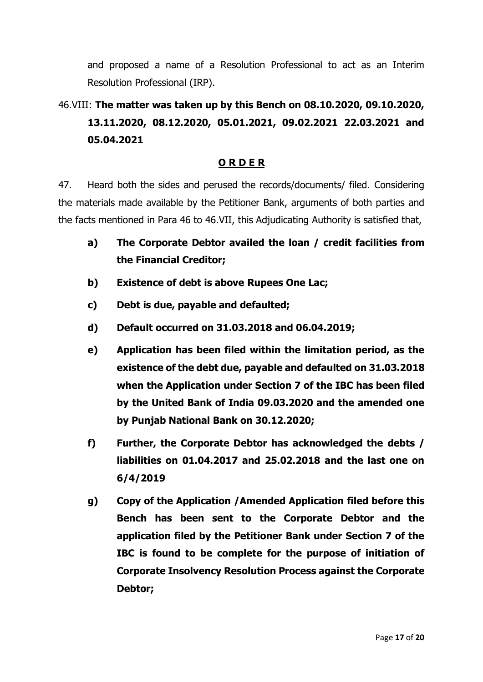and proposed a name of a Resolution Professional to act as an Interim Resolution Professional (IRP).

# 46.VIII: **The matter was taken up by this Bench on 08.10.2020, 09.10.2020, 13.11.2020, 08.12.2020, 05.01.2021, 09.02.2021 22.03.2021 and 05.04.2021**

# **O R D E R**

47. Heard both the sides and perused the records/documents/ filed. Considering the materials made available by the Petitioner Bank, arguments of both parties and the facts mentioned in Para 46 to 46.VII, this Adjudicating Authority is satisfied that,

- **a) The Corporate Debtor availed the loan / credit facilities from the Financial Creditor;**
- **b) Existence of debt is above Rupees One Lac;**
- **c) Debt is due, payable and defaulted;**
- **d) Default occurred on 31.03.2018 and 06.04.2019;**
- **e) Application has been filed within the limitation period, as the existence of the debt due, payable and defaulted on 31.03.2018 when the Application under Section 7 of the IBC has been filed by the United Bank of India 09.03.2020 and the amended one by Punjab National Bank on 30.12.2020;**
- **f) Further, the Corporate Debtor has acknowledged the debts / liabilities on 01.04.2017 and 25.02.2018 and the last one on 6/4/2019**
- **g) Copy of the Application /Amended Application filed before this Bench has been sent to the Corporate Debtor and the application filed by the Petitioner Bank under Section 7 of the IBC is found to be complete for the purpose of initiation of Corporate Insolvency Resolution Process against the Corporate Debtor;**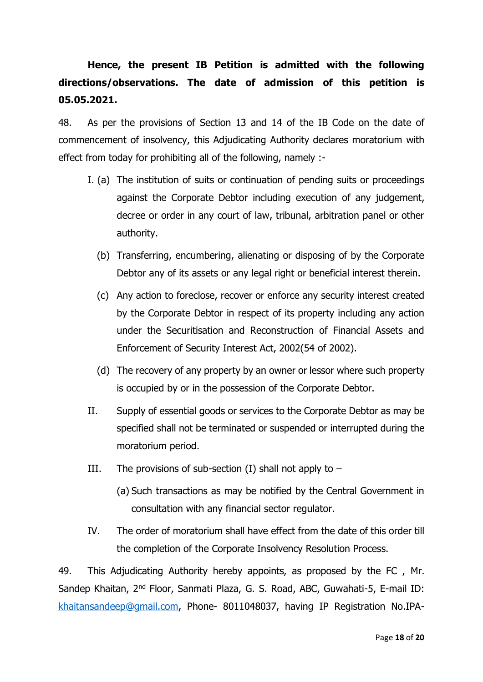# **Hence, the present IB Petition is admitted with the following directions/observations. The date of admission of this petition is 05.05.2021.**

48. As per the provisions of Section 13 and 14 of the IB Code on the date of commencement of insolvency, this Adjudicating Authority declares moratorium with effect from today for prohibiting all of the following, namely :-

- I. (a) The institution of suits or continuation of pending suits or proceedings against the Corporate Debtor including execution of any judgement, decree or order in any court of law, tribunal, arbitration panel or other authority.
	- (b) Transferring, encumbering, alienating or disposing of by the Corporate Debtor any of its assets or any legal right or beneficial interest therein.
	- (c) Any action to foreclose, recover or enforce any security interest created by the Corporate Debtor in respect of its property including any action under the Securitisation and Reconstruction of Financial Assets and Enforcement of Security Interest Act, 2002(54 of 2002).
	- (d) The recovery of any property by an owner or lessor where such property is occupied by or in the possession of the Corporate Debtor.
- II. Supply of essential goods or services to the Corporate Debtor as may be specified shall not be terminated or suspended or interrupted during the moratorium period.
- III. The provisions of sub-section (I) shall not apply to  $-$ 
	- (a) Such transactions as may be notified by the Central Government in consultation with any financial sector regulator.
- IV. The order of moratorium shall have effect from the date of this order till the completion of the Corporate Insolvency Resolution Process.

49. This Adjudicating Authority hereby appoints, as proposed by the FC , Mr. Sandep Khaitan, 2nd Floor, Sanmati Plaza, G. S. Road, ABC, Guwahati-5, E-mail ID: [khaitansandeep@gmail.com,](mailto:khaitansandeep@gmail.com) Phone- 8011048037, having IP Registration No.IPA-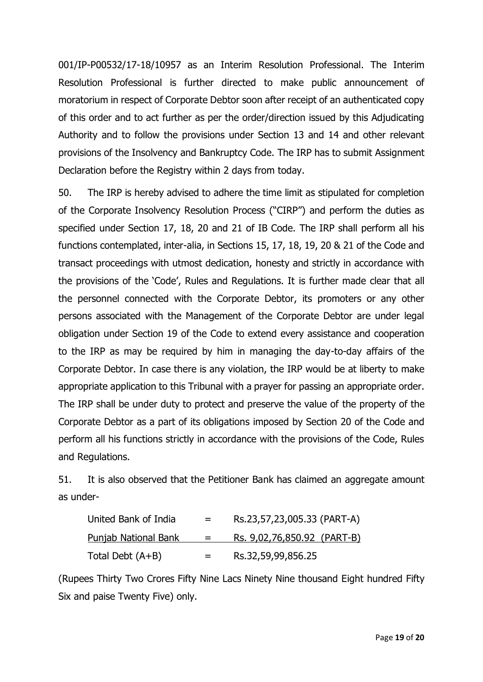001/IP-P00532/17-18/10957 as an Interim Resolution Professional. The Interim Resolution Professional is further directed to make public announcement of moratorium in respect of Corporate Debtor soon after receipt of an authenticated copy of this order and to act further as per the order/direction issued by this Adjudicating Authority and to follow the provisions under Section 13 and 14 and other relevant provisions of the Insolvency and Bankruptcy Code. The IRP has to submit Assignment Declaration before the Registry within 2 days from today.

50. The IRP is hereby advised to adhere the time limit as stipulated for completion of the Corporate Insolvency Resolution Process ("CIRP") and perform the duties as specified under Section 17, 18, 20 and 21 of IB Code. The IRP shall perform all his functions contemplated, inter-alia, in Sections 15, 17, 18, 19, 20 & 21 of the Code and transact proceedings with utmost dedication, honesty and strictly in accordance with the provisions of the 'Code', Rules and Regulations. It is further made clear that all the personnel connected with the Corporate Debtor, its promoters or any other persons associated with the Management of the Corporate Debtor are under legal obligation under Section 19 of the Code to extend every assistance and cooperation to the IRP as may be required by him in managing the day-to-day affairs of the Corporate Debtor. In case there is any violation, the IRP would be at liberty to make appropriate application to this Tribunal with a prayer for passing an appropriate order. The IRP shall be under duty to protect and preserve the value of the property of the Corporate Debtor as a part of its obligations imposed by Section 20 of the Code and perform all his functions strictly in accordance with the provisions of the Code, Rules and Regulations.

51. It is also observed that the Petitioner Bank has claimed an aggregate amount as under-

| United Bank of India | $=$ | Rs.23,57,23,005.33 (PART-A) |
|----------------------|-----|-----------------------------|
| Punjab National Bank | $=$ | Rs. 9,02,76,850.92 (PART-B) |
| Total Debt $(A+B)$   | $=$ | Rs.32,59,99,856.25          |

(Rupees Thirty Two Crores Fifty Nine Lacs Ninety Nine thousand Eight hundred Fifty Six and paise Twenty Five) only.